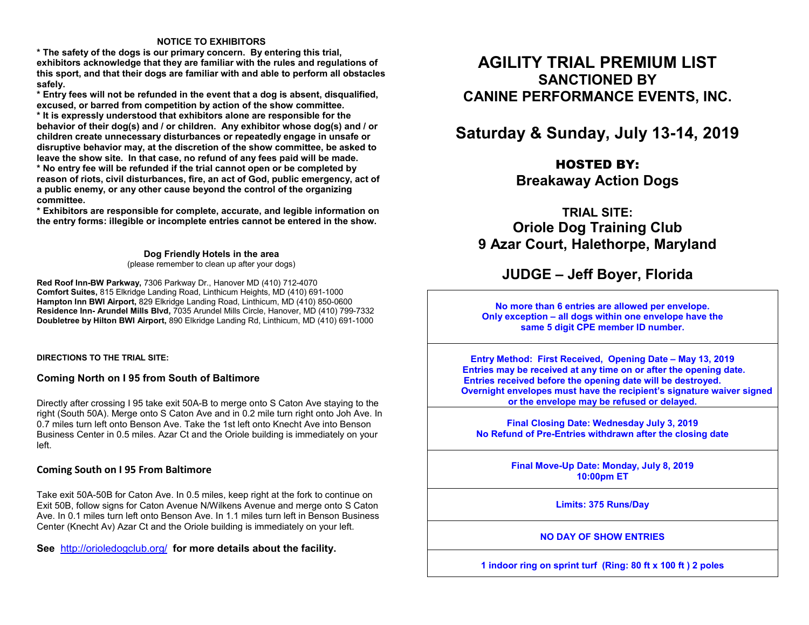#### **NOTICE TO EXHIBITORS**

 **\* The safety of the dogs is our primary concern. By entering this trial, exhibitors acknowledge that they are familiar with the rules and regulations of this sport, and that their dogs are familiar with and able to perform all obstacles safely.** 

 **\* Entry fees will not be refunded in the event that a dog is absent, disqualified, excused, or barred from competition by action of the show committee. \* It is expressly understood that exhibitors alone are responsible for the behavior of their dog(s) and / or children. Any exhibitor whose dog(s) and / or children create unnecessary disturbances or repeatedly engage in unsafe or disruptive behavior may, at the discretion of the show committee, be asked to leave the show site. In that case, no refund of any fees paid will be made. \* No entry fee will be refunded if the trial cannot open or be completed by reason of riots, civil disturbances, fire, an act of God, public emergency, act of a public enemy, or any other cause beyond the control of the organizing committee.** 

 **\* Exhibitors are responsible for complete, accurate, and legible information on the entry forms: illegible or incomplete entries cannot be entered in the show.** 

> **Dog Friendly Hotels in the area** (please remember to clean up after your dogs)

**Red Roof Inn-BW Parkway,** 7306 Parkway Dr., Hanover MD (410) 712-4070 **Comfort Suites,** 815 Elkridge Landing Road, Linthicum Heights, MD (410) 691-1000 **Hampton Inn BWI Airport,** 829 Elkridge Landing Road, Linthicum, MD (410) 850-0600 **Residence Inn- Arundel Mills Blvd,** 7035 Arundel Mills Circle, Hanover, MD (410) 799-7332 **Doubletree by Hilton BWI Airport,** 890 Elkridge Landing Rd, Linthicum, MD (410) 691-1000

**DIRECTIONS TO THE TRIAL SITE:** 

#### **Coming North on I 95 from South of Baltimore**

Directly after crossing I 95 take exit 50A-B to merge onto S Caton Ave staying to the right (South 50A). Merge onto S Caton Ave and in 0.2 mile turn right onto Joh Ave. In 0.7 miles turn left onto Benson Ave. Take the 1st left onto Knecht Ave into Benson Business Center in 0.5 miles. Azar Ct and the Oriole building is immediately on your left.

#### **Coming South on I 95 From Baltimore**

Take exit 50A-50B for Caton Ave. In 0.5 miles, keep right at the fork to continue on Exit 50B, follow signs for Caton Avenue N/Wilkens Avenue and merge onto S Caton Ave. In 0.1 miles turn left onto Benson Ave. In 1.1 miles turn left in Benson Business Center (Knecht Av) Azar Ct and the Oriole building is immediately on your left.

**See** http://orioledogclub.org/ **for more details about the facility.**

# **AGILITY TRIAL PREMIUM LIST SANCTIONED BY CANINE PERFORMANCE EVENTS, INC.**

# **Saturday & Sunday, July 13-14, 2019**

## HOSTED BY:

**Breakaway Action Dogs** 

**TRIAL SITE: Oriole Dog Training Club 9 Azar Court, Halethorpe, Maryland** 

## **JUDGE – Jeff Boyer, Florida**

**No more than 6 entries are allowed per envelope. Only exception – all dogs within one envelope have the same 5 digit CPE member ID number.** 

**Entry Method: First Received, Opening Date – May 13, 2019 Entries may be received at any time on or after the opening date. Entries received before the opening date will be destroyed. Overnight envelopes must have the recipient's signature waiver signed or the envelope may be refused or delayed.** 

> **Final Closing Date: Wednesday July 3, 2019 No Refund of Pre-Entries withdrawn after the closing date**

> > **Final Move-Up Date: Monday, July 8, 2019 10:00pm ET**

> > > **Limits: 375 Runs/Day**

**NO DAY OF SHOW ENTRIES** 

**1 indoor ring on sprint turf (Ring: 80 ft x 100 ft ) 2 poles**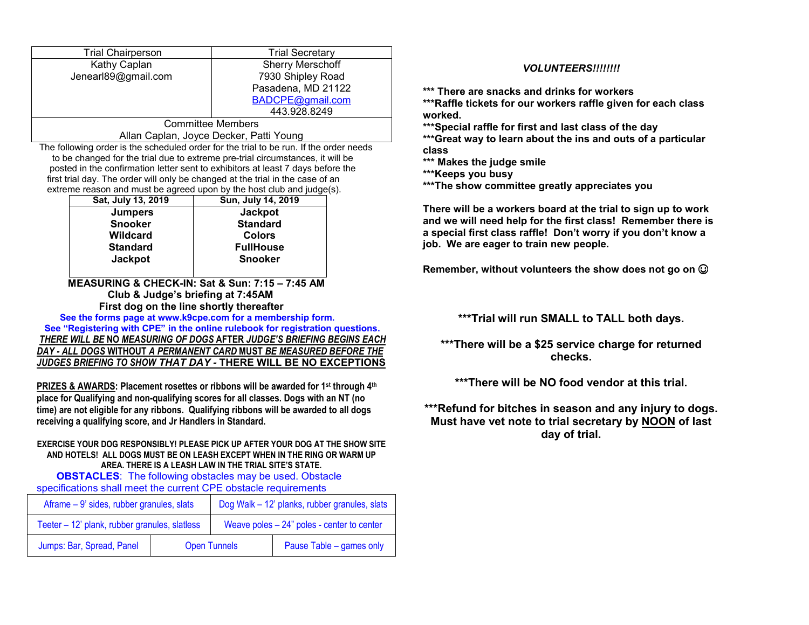| <b>Trial Chairperson</b> | <b>Trial Secretary</b>  |  |  |  |
|--------------------------|-------------------------|--|--|--|
| Kathy Caplan             | <b>Sherry Merschoff</b> |  |  |  |
| Jenearl89@gmail.com      | 7930 Shipley Road       |  |  |  |
|                          | Pasadena, MD 21122      |  |  |  |
|                          | BADCPE@gmail.com        |  |  |  |
|                          | 443.928.8249            |  |  |  |
| Committoo Momboro        |                         |  |  |  |

Committee Members Allan Caplan, Joyce Decker, Patti Young

 The following order is the scheduled order for the trial to be run. If the order needs to be changed for the trial due to extreme pre-trial circumstances, it will be posted in the confirmation letter sent to exhibitors at least 7 days before the first trial day. The order will only be changed at the trial in the case of an extreme reason and must be agreed upon by the host club and judge(s).

| Sat, July 13, 2019 | Sun, July 14, 2019 |  |  |  |  |
|--------------------|--------------------|--|--|--|--|
| <b>Jumpers</b>     | <b>Jackpot</b>     |  |  |  |  |
| <b>Snooker</b>     | <b>Standard</b>    |  |  |  |  |
| <b>Wildcard</b>    | <b>Colors</b>      |  |  |  |  |
| <b>Standard</b>    | <b>FullHouse</b>   |  |  |  |  |
| <b>Jackpot</b>     | <b>Snooker</b>     |  |  |  |  |
|                    |                    |  |  |  |  |

### **MEASURING & CHECK-IN: Sat & Sun: 7:15 – 7:45 AM Club & Judge's briefing at 7:45AM First dog on the line shortly thereafter**

  **See the forms page at www.k9cpe.com for a membership form. See "Registering with CPE" in the online rulebook for registration questions.** *THERE WILL BE* **NO** *MEASURING OF DOGS* **AFTER** *JUDGE'S BRIEFING BEGINS EACH DAY - ALL DOGS* **WITHOUT** *A PERMANENT CARD* **MUST** *BE MEASURED BEFORE THE JUDGES BRIEFING TO SHOW THAT DAY -* **THERE WILL BE NO EXCEPTIONS**

**PRIZES & AWARDS: Placement rosettes or ribbons will be awarded for 1st through 4th place for Qualifying and non-qualifying scores for all classes. Dogs with an NT (no time) are not eligible for any ribbons. Qualifying ribbons will be awarded to all dogs receiving a qualifying score, and Jr Handlers in Standard.** 

#### **EXERCISE YOUR DOG RESPONSIBLY! PLEASE PICK UP AFTER YOUR DOG AT THE SHOW SITE AND HOTELS! ALL DOGS MUST BE ON LEASH EXCEPT WHEN IN THE RING OR WARM UP AREA. THERE IS A LEASH LAW IN THE TRIAL SITE'S STATE.**

**OBSTACLES:** The following obstacles may be used. Obstacle specifications shall meet the current CPE obstacle requirements

| Aframe – 9' sides, rubber granules, slats     |                     | Dog Walk - 12' planks, rubber granules, slats |                          |  |  |
|-----------------------------------------------|---------------------|-----------------------------------------------|--------------------------|--|--|
| Teeter - 12' plank, rubber granules, slatless |                     | Weave poles $-24$ " poles - center to center  |                          |  |  |
| Jumps: Bar, Spread, Panel                     | <b>Open Tunnels</b> |                                               | Pause Table – games only |  |  |

### *VOLUNTEERS!!!!!!!!*

**\*\*\* There are snacks and drinks for workers** 

 **\*\*\*Raffle tickets for our workers raffle given for each class worked.** 

**\*\*\*Special raffle for first and last class of the day** 

 **\*\*\*Great way to learn about the ins and outs of a particular class** 

**\*\*\* Makes the judge smile** 

**\*\*\*Keeps you busy** 

**\*\*\*The show committee greatly appreciates you** 

**There will be a workers board at the trial to sign up to work and we will need help for the first class! Remember there is a special first class raffle! Don't worry if you don't know a job. We are eager to train new people.** 

**Remember, without volunteers the show does not go on** ☺

**\*\*\*Trial will run SMALL to TALL both days.** 

**\*\*\*There will be a \$25 service charge for returned checks.** 

**\*\*\*There will be NO food vendor at this trial.** 

**\*\*\*Refund for bitches in season and any injury to dogs. Must have vet note to trial secretary by NOON of last day of trial.**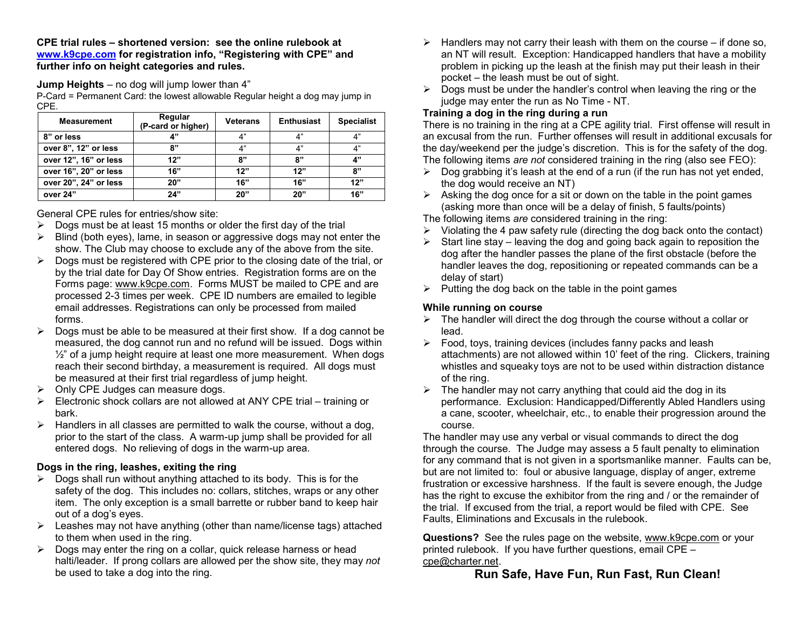**CPE trial rules – shortened version: see the online rulebook at www.k9cpe.com for registration info, "Registering with CPE" and further info on height categories and rules.**

**Jump Heights** – no dog will jump lower than 4"

 P-Card = Permanent Card: the lowest allowable Regular height a dog may jump in CPE.

| <b>Measurement</b>    | Regular<br>(P-card or higher) | <b>Veterans</b> | <b>Enthusiast</b> | <b>Specialist</b> |
|-----------------------|-------------------------------|-----------------|-------------------|-------------------|
| 8" or less            | A"                            | 4"              | 4"                | 4"                |
| over 8", 12" or less  | ጸ"                            | 4"              | 4"                | 4"                |
| over 12", 16" or less | 12"                           | 8"              | 8"                | 4"                |
| over 16", 20" or less | 16"                           | 12"             | 12"               | 8"                |
| over 20", 24" or less | 20"                           | 16"             | 16"               | 12"               |
| over 24"              | 24"                           | 20"             | 20"               | 16"               |

General CPE rules for entries/show site:

- $\triangleright$  Dogs must be at least 15 months or older the first day of the trial
- $\triangleright$  Blind (both eyes), lame, in season or aggressive dogs may not enter the show. The Club may choose to exclude any of the above from the site.
- $\triangleright$  Dogs must be registered with CPE prior to the closing date of the trial, or by the trial date for Day Of Show entries. Registration forms are on the Forms page: www.k9cpe.com. Forms MUST be mailed to CPE and are processed 2-3 times per week. CPE ID numbers are emailed to legible email addresses. Registrations can only be processed from mailed forms.
- $\triangleright$  Dogs must be able to be measured at their first show. If a dog cannot be measured, the dog cannot run and no refund will be issued. Dogs within  $\frac{1}{2}$ " of a jump height require at least one more measurement. When dogs reach their second birthday, a measurement is required. All dogs must be measured at their first trial regardless of jump height.
- $\triangleright$  Only CPE Judges can measure dogs.
- $\triangleright$  Electronic shock collars are not allowed at ANY CPE trial training or bark.
- $\triangleright$  Handlers in all classes are permitted to walk the course, without a dog, prior to the start of the class. A warm-up jump shall be provided for all entered dogs. No relieving of dogs in the warm-up area.

## **Dogs in the ring, leashes, exiting the ring**

- $\triangleright$  Dogs shall run without anything attached to its body. This is for the safety of the dog. This includes no: collars, stitches, wraps or any other item. The only exception is a small barrette or rubber band to keep hair out of a dog's eyes.
- Eeashes may not have anything (other than name/license tags) attached to them when used in the ring.
- $\triangleright$  Dogs may enter the ring on a collar, quick release harness or head halti/leader. If prong collars are allowed per the show site, they may *not*be used to take a dog into the ring.
- $\triangleright$  Handlers may not carry their leash with them on the course if done so, an NT will result. Exception: Handicapped handlers that have a mobility problem in picking up the leash at the finish may put their leash in their pocket – the leash must be out of sight.
- $\triangleright$  Dogs must be under the handler's control when leaving the ring or the judge may enter the run as No Time - NT.

## **Training a dog in the ring during a run**

 There is no training in the ring at a CPE agility trial. First offense will result in an excusal from the run. Further offenses will result in additional excusals for the day/weekend per the judge's discretion. This is for the safety of the dog. The following items *are not* considered training in the ring (also see FEO):

- $\triangleright$  Dog grabbing it's leash at the end of a run (if the run has not yet ended, the dog would receive an NT)
- $\triangleright$  Asking the dog once for a sit or down on the table in the point games (asking more than once will be a delay of finish, 5 faults/points)

The following items *are* considered training in the ring:

- $\triangleright$  Violating the 4 paw safety rule (directing the dog back onto the contact)
- Start line stay leaving the dog and going back again to reposition the dog after the handler passes the plane of the first obstacle (before the handler leaves the dog, repositioning or repeated commands can be a delay of start)
- $\triangleright$  Putting the dog back on the table in the point games

## **While running on course**

- $\triangleright$  The handler will direct the dog through the course without a collar or lead.
- $\triangleright$  Food, toys, training devices (includes fanny packs and leash attachments) are not allowed within 10' feet of the ring. Clickers, training whistles and squeaky toys are not to be used within distraction distance of the ring.
- $\triangleright$  The handler may not carry anything that could aid the dog in its performance. Exclusion: Handicapped/Differently Abled Handlers using a cane, scooter, wheelchair, etc., to enable their progression around the course.

 The handler may use any verbal or visual commands to direct the dog through the course. The Judge may assess a 5 fault penalty to elimination for any command that is not given in a sportsmanlike manner. Faults can be, but are not limited to: foul or abusive language, display of anger, extreme frustration or excessive harshness. If the fault is severe enough, the Judge has the right to excuse the exhibitor from the ring and / or the remainder of the trial. If excused from the trial, a report would be filed with CPE. See Faults, Eliminations and Excusals in the rulebook.

**Questions?** See the rules page on the website, www.k9cpe.com or your printed rulebook. If you have further questions, email CPE – cpe@charter.net.

## **Run Safe, Have Fun, Run Fast, Run Clean!**